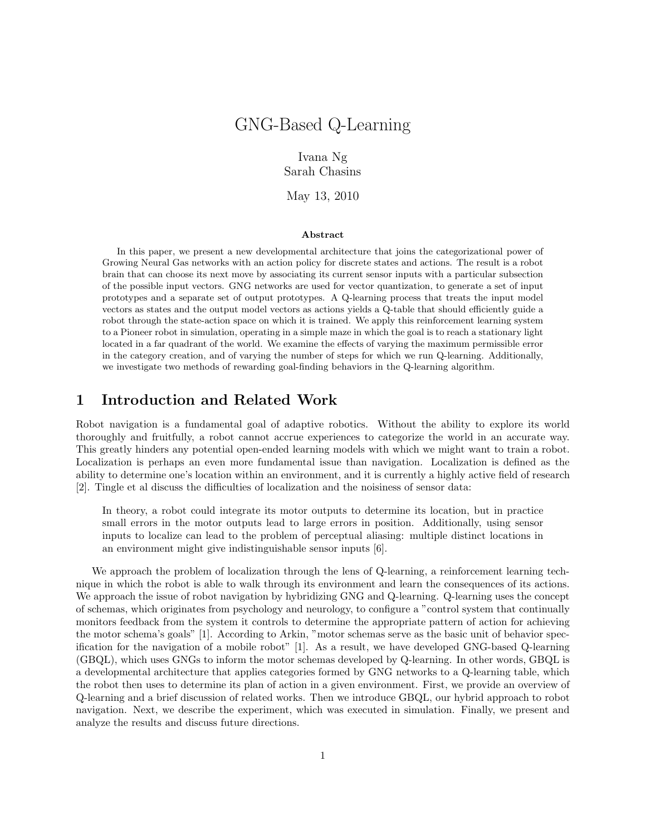# GNG-Based Q-Learning

Ivana Ng Sarah Chasins

May 13, 2010

#### Abstract

In this paper, we present a new developmental architecture that joins the categorizational power of Growing Neural Gas networks with an action policy for discrete states and actions. The result is a robot brain that can choose its next move by associating its current sensor inputs with a particular subsection of the possible input vectors. GNG networks are used for vector quantization, to generate a set of input prototypes and a separate set of output prototypes. A Q-learning process that treats the input model vectors as states and the output model vectors as actions yields a Q-table that should efficiently guide a robot through the state-action space on which it is trained. We apply this reinforcement learning system to a Pioneer robot in simulation, operating in a simple maze in which the goal is to reach a stationary light located in a far quadrant of the world. We examine the effects of varying the maximum permissible error in the category creation, and of varying the number of steps for which we run Q-learning. Additionally, we investigate two methods of rewarding goal-finding behaviors in the Q-learning algorithm.

## 1 Introduction and Related Work

Robot navigation is a fundamental goal of adaptive robotics. Without the ability to explore its world thoroughly and fruitfully, a robot cannot accrue experiences to categorize the world in an accurate way. This greatly hinders any potential open-ended learning models with which we might want to train a robot. Localization is perhaps an even more fundamental issue than navigation. Localization is defined as the ability to determine one's location within an environment, and it is currently a highly active field of research [2]. Tingle et al discuss the difficulties of localization and the noisiness of sensor data:

In theory, a robot could integrate its motor outputs to determine its location, but in practice small errors in the motor outputs lead to large errors in position. Additionally, using sensor inputs to localize can lead to the problem of perceptual aliasing: multiple distinct locations in an environment might give indistinguishable sensor inputs [6].

We approach the problem of localization through the lens of Q-learning, a reinforcement learning technique in which the robot is able to walk through its environment and learn the consequences of its actions. We approach the issue of robot navigation by hybridizing GNG and Q-learning. Q-learning uses the concept of schemas, which originates from psychology and neurology, to configure a "control system that continually monitors feedback from the system it controls to determine the appropriate pattern of action for achieving the motor schema's goals" [1]. According to Arkin, "motor schemas serve as the basic unit of behavior specification for the navigation of a mobile robot" [1]. As a result, we have developed GNG-based Q-learning (GBQL), which uses GNGs to inform the motor schemas developed by Q-learning. In other words, GBQL is a developmental architecture that applies categories formed by GNG networks to a Q-learning table, which the robot then uses to determine its plan of action in a given environment. First, we provide an overview of Q-learning and a brief discussion of related works. Then we introduce GBQL, our hybrid approach to robot navigation. Next, we describe the experiment, which was executed in simulation. Finally, we present and analyze the results and discuss future directions.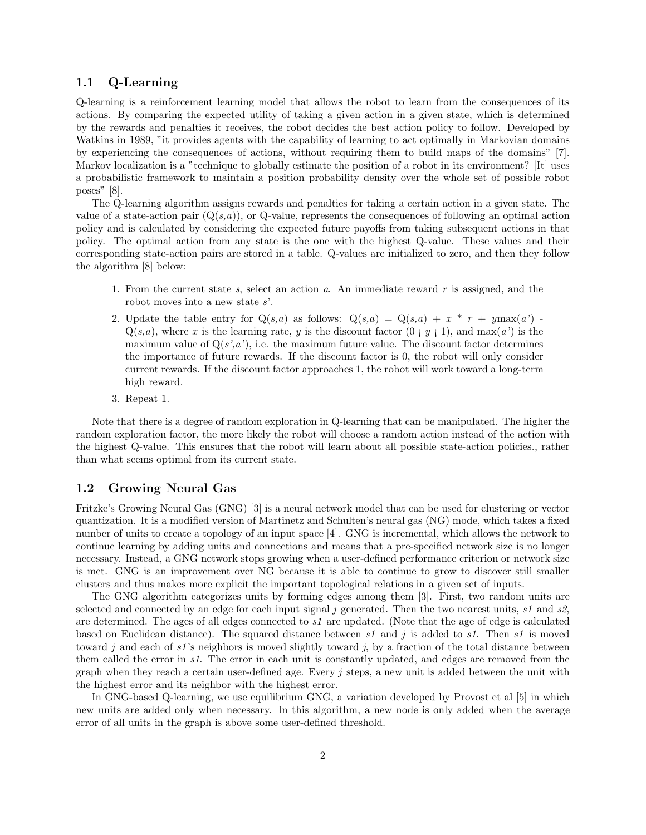#### 1.1 Q-Learning

Q-learning is a reinforcement learning model that allows the robot to learn from the consequences of its actions. By comparing the expected utility of taking a given action in a given state, which is determined by the rewards and penalties it receives, the robot decides the best action policy to follow. Developed by Watkins in 1989, "it provides agents with the capability of learning to act optimally in Markovian domains by experiencing the consequences of actions, without requiring them to build maps of the domains" [7]. Markov localization is a "technique to globally estimate the position of a robot in its environment? [It] uses a probabilistic framework to maintain a position probability density over the whole set of possible robot poses" [8].

The Q-learning algorithm assigns rewards and penalties for taking a certain action in a given state. The value of a state-action pair  $(Q(s,a))$ , or Q-value, represents the consequences of following an optimal action policy and is calculated by considering the expected future payoffs from taking subsequent actions in that policy. The optimal action from any state is the one with the highest Q-value. These values and their corresponding state-action pairs are stored in a table. Q-values are initialized to zero, and then they follow the algorithm [8] below:

- 1. From the current state *s*, select an action *a*. An immediate reward *r* is assigned, and the robot moves into a new state *s*'.
- 2. Update the table entry for  $Q(s,a)$  as follows:  $Q(s,a) = Q(s,a) + x * r + y \max(a')$ .  $Q(s,a)$ , where *x* is the learning rate, *y* is the discount factor  $(0 \mid y \mid 1)$ , and max $(a')$  is the maximum value of  $Q(s', a')$ , i.e. the maximum future value. The discount factor determines the importance of future rewards. If the discount factor is 0, the robot will only consider current rewards. If the discount factor approaches 1, the robot will work toward a long-term high reward.
- 3. Repeat 1.

Note that there is a degree of random exploration in Q-learning that can be manipulated. The higher the random exploration factor, the more likely the robot will choose a random action instead of the action with the highest Q-value. This ensures that the robot will learn about all possible state-action policies., rather than what seems optimal from its current state.

#### 1.2 Growing Neural Gas

Fritzke's Growing Neural Gas (GNG) [3] is a neural network model that can be used for clustering or vector quantization. It is a modified version of Martinetz and Schulten's neural gas (NG) mode, which takes a fixed number of units to create a topology of an input space [4]. GNG is incremental, which allows the network to continue learning by adding units and connections and means that a pre-specified network size is no longer necessary. Instead, a GNG network stops growing when a user-defined performance criterion or network size is met. GNG is an improvement over NG because it is able to continue to grow to discover still smaller clusters and thus makes more explicit the important topological relations in a given set of inputs.

The GNG algorithm categorizes units by forming edges among them [3]. First, two random units are selected and connected by an edge for each input signal *j* generated. Then the two nearest units, *s1* and *s2*, are determined. The ages of all edges connected to *s1* are updated. (Note that the age of edge is calculated based on Euclidean distance). The squared distance between *s1* and *j* is added to *s1*. Then *s1* is moved toward *j* and each of *s1*'s neighbors is moved slightly toward *j*, by a fraction of the total distance between them called the error in *s1*. The error in each unit is constantly updated, and edges are removed from the graph when they reach a certain user-defined age. Every *j* steps, a new unit is added between the unit with the highest error and its neighbor with the highest error.

In GNG-based Q-learning, we use equilibrium GNG, a variation developed by Provost et al [5] in which new units are added only when necessary. In this algorithm, a new node is only added when the average error of all units in the graph is above some user-defined threshold.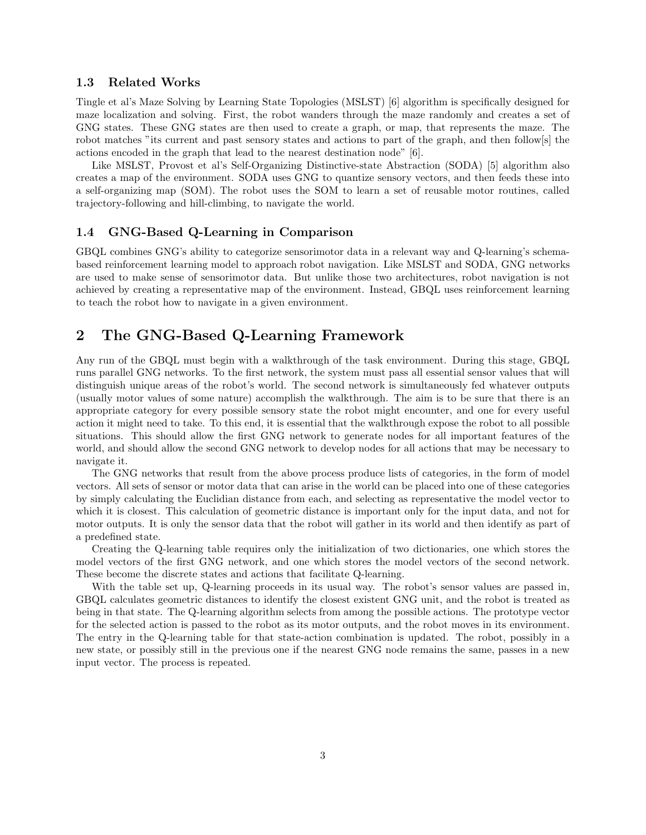### 1.3 Related Works

Tingle et al's Maze Solving by Learning State Topologies (MSLST) [6] algorithm is specifically designed for maze localization and solving. First, the robot wanders through the maze randomly and creates a set of GNG states. These GNG states are then used to create a graph, or map, that represents the maze. The robot matches "its current and past sensory states and actions to part of the graph, and then follow[s] the actions encoded in the graph that lead to the nearest destination node" [6].

Like MSLST, Provost et al's Self-Organizing Distinctive-state Abstraction (SODA) [5] algorithm also creates a map of the environment. SODA uses GNG to quantize sensory vectors, and then feeds these into a self-organizing map (SOM). The robot uses the SOM to learn a set of reusable motor routines, called trajectory-following and hill-climbing, to navigate the world.

### 1.4 GNG-Based Q-Learning in Comparison

GBQL combines GNG's ability to categorize sensorimotor data in a relevant way and Q-learning's schemabased reinforcement learning model to approach robot navigation. Like MSLST and SODA, GNG networks are used to make sense of sensorimotor data. But unlike those two architectures, robot navigation is not achieved by creating a representative map of the environment. Instead, GBQL uses reinforcement learning to teach the robot how to navigate in a given environment.

# 2 The GNG-Based Q-Learning Framework

Any run of the GBQL must begin with a walkthrough of the task environment. During this stage, GBQL runs parallel GNG networks. To the first network, the system must pass all essential sensor values that will distinguish unique areas of the robot's world. The second network is simultaneously fed whatever outputs (usually motor values of some nature) accomplish the walkthrough. The aim is to be sure that there is an appropriate category for every possible sensory state the robot might encounter, and one for every useful action it might need to take. To this end, it is essential that the walkthrough expose the robot to all possible situations. This should allow the first GNG network to generate nodes for all important features of the world, and should allow the second GNG network to develop nodes for all actions that may be necessary to navigate it.

The GNG networks that result from the above process produce lists of categories, in the form of model vectors. All sets of sensor or motor data that can arise in the world can be placed into one of these categories by simply calculating the Euclidian distance from each, and selecting as representative the model vector to which it is closest. This calculation of geometric distance is important only for the input data, and not for motor outputs. It is only the sensor data that the robot will gather in its world and then identify as part of a predefined state.

Creating the Q-learning table requires only the initialization of two dictionaries, one which stores the model vectors of the first GNG network, and one which stores the model vectors of the second network. These become the discrete states and actions that facilitate Q-learning.

With the table set up, Q-learning proceeds in its usual way. The robot's sensor values are passed in, GBQL calculates geometric distances to identify the closest existent GNG unit, and the robot is treated as being in that state. The Q-learning algorithm selects from among the possible actions. The prototype vector for the selected action is passed to the robot as its motor outputs, and the robot moves in its environment. The entry in the Q-learning table for that state-action combination is updated. The robot, possibly in a new state, or possibly still in the previous one if the nearest GNG node remains the same, passes in a new input vector. The process is repeated.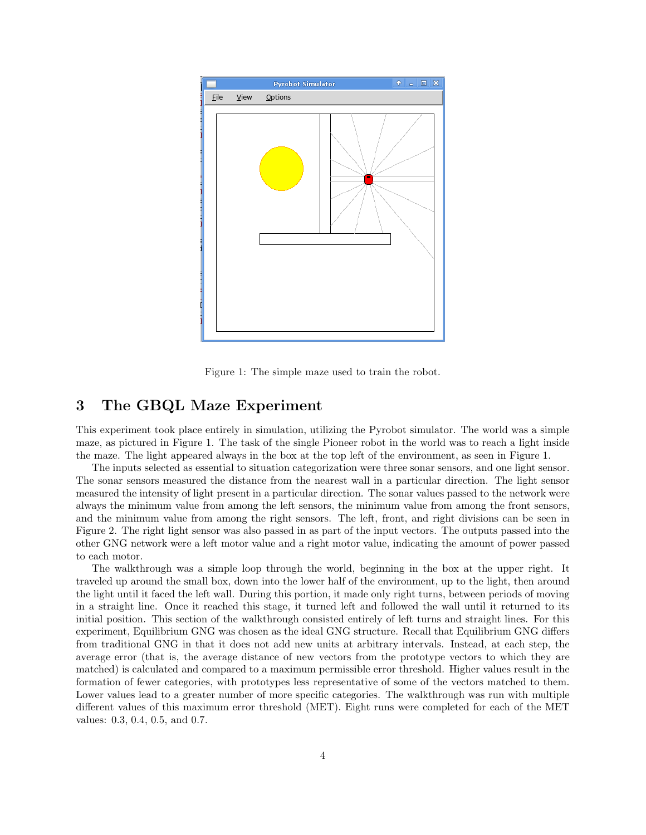

Figure 1: The simple maze used to train the robot.

# 3 The GBQL Maze Experiment

This experiment took place entirely in simulation, utilizing the Pyrobot simulator. The world was a simple maze, as pictured in Figure 1. The task of the single Pioneer robot in the world was to reach a light inside the maze. The light appeared always in the box at the top left of the environment, as seen in Figure 1.

The inputs selected as essential to situation categorization were three sonar sensors, and one light sensor. The sonar sensors measured the distance from the nearest wall in a particular direction. The light sensor measured the intensity of light present in a particular direction. The sonar values passed to the network were always the minimum value from among the left sensors, the minimum value from among the front sensors, and the minimum value from among the right sensors. The left, front, and right divisions can be seen in Figure 2. The right light sensor was also passed in as part of the input vectors. The outputs passed into the other GNG network were a left motor value and a right motor value, indicating the amount of power passed to each motor.

The walkthrough was a simple loop through the world, beginning in the box at the upper right. It traveled up around the small box, down into the lower half of the environment, up to the light, then around the light until it faced the left wall. During this portion, it made only right turns, between periods of moving in a straight line. Once it reached this stage, it turned left and followed the wall until it returned to its initial position. This section of the walkthrough consisted entirely of left turns and straight lines. For this experiment, Equilibrium GNG was chosen as the ideal GNG structure. Recall that Equilibrium GNG differs from traditional GNG in that it does not add new units at arbitrary intervals. Instead, at each step, the average error (that is, the average distance of new vectors from the prototype vectors to which they are matched) is calculated and compared to a maximum permissible error threshold. Higher values result in the formation of fewer categories, with prototypes less representative of some of the vectors matched to them. Lower values lead to a greater number of more specific categories. The walkthrough was run with multiple different values of this maximum error threshold (MET). Eight runs were completed for each of the MET values: 0.3, 0.4, 0.5, and 0.7.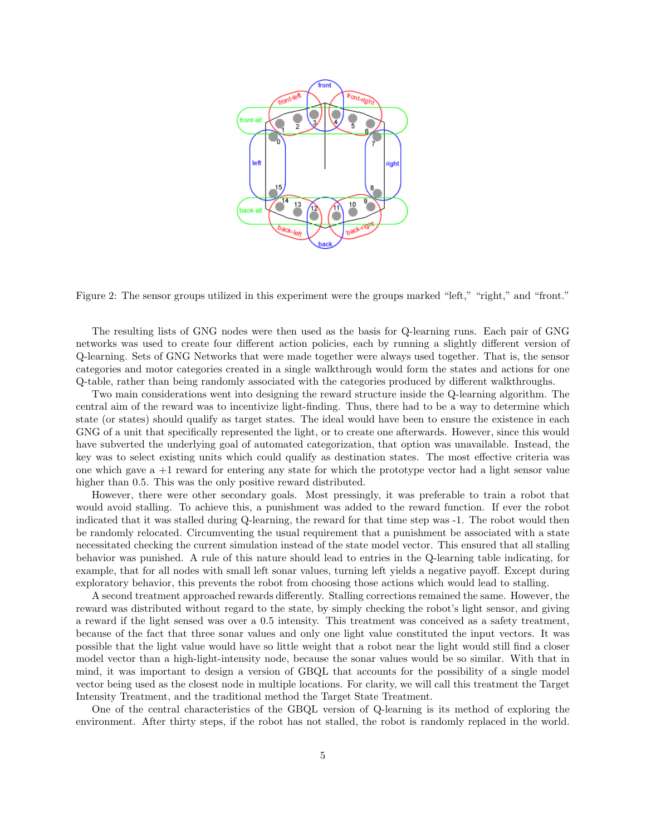

Figure 2: The sensor groups utilized in this experiment were the groups marked "left," "right," and "front."

The resulting lists of GNG nodes were then used as the basis for Q-learning runs. Each pair of GNG networks was used to create four different action policies, each by running a slightly different version of Q-learning. Sets of GNG Networks that were made together were always used together. That is, the sensor categories and motor categories created in a single walkthrough would form the states and actions for one Q-table, rather than being randomly associated with the categories produced by different walkthroughs.

Two main considerations went into designing the reward structure inside the Q-learning algorithm. The central aim of the reward was to incentivize light-finding. Thus, there had to be a way to determine which state (or states) should qualify as target states. The ideal would have been to ensure the existence in each GNG of a unit that specifically represented the light, or to create one afterwards. However, since this would have subverted the underlying goal of automated categorization, that option was unavailable. Instead, the key was to select existing units which could qualify as destination states. The most effective criteria was one which gave a +1 reward for entering any state for which the prototype vector had a light sensor value higher than 0.5. This was the only positive reward distributed.

However, there were other secondary goals. Most pressingly, it was preferable to train a robot that would avoid stalling. To achieve this, a punishment was added to the reward function. If ever the robot indicated that it was stalled during Q-learning, the reward for that time step was -1. The robot would then be randomly relocated. Circumventing the usual requirement that a punishment be associated with a state necessitated checking the current simulation instead of the state model vector. This ensured that all stalling behavior was punished. A rule of this nature should lead to entries in the Q-learning table indicating, for example, that for all nodes with small left sonar values, turning left yields a negative payoff. Except during exploratory behavior, this prevents the robot from choosing those actions which would lead to stalling.

A second treatment approached rewards differently. Stalling corrections remained the same. However, the reward was distributed without regard to the state, by simply checking the robot's light sensor, and giving a reward if the light sensed was over a 0.5 intensity. This treatment was conceived as a safety treatment, because of the fact that three sonar values and only one light value constituted the input vectors. It was possible that the light value would have so little weight that a robot near the light would still find a closer model vector than a high-light-intensity node, because the sonar values would be so similar. With that in mind, it was important to design a version of GBQL that accounts for the possibility of a single model vector being used as the closest node in multiple locations. For clarity, we will call this treatment the Target Intensity Treatment, and the traditional method the Target State Treatment.

One of the central characteristics of the GBQL version of Q-learning is its method of exploring the environment. After thirty steps, if the robot has not stalled, the robot is randomly replaced in the world.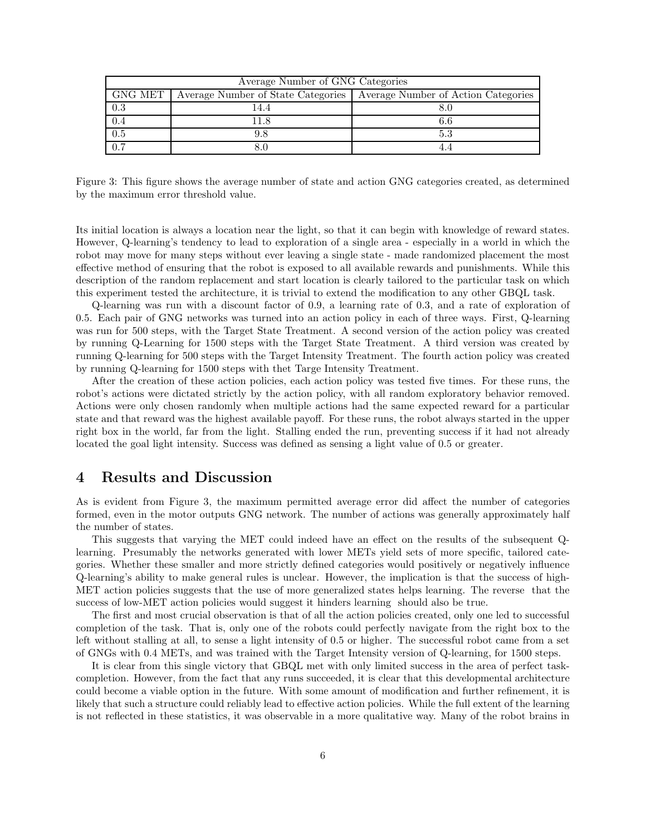| Average Number of GNG Categories |  |                                                                          |  |  |
|----------------------------------|--|--------------------------------------------------------------------------|--|--|
| GNG MET                          |  | Average Number of State Categories   Average Number of Action Categories |  |  |
| 0.3                              |  |                                                                          |  |  |
|                                  |  | 6.6                                                                      |  |  |
| 0.5                              |  | 5.3                                                                      |  |  |
| 0.7                              |  |                                                                          |  |  |

Figure 3: This figure shows the average number of state and action GNG categories created, as determined by the maximum error threshold value.

Its initial location is always a location near the light, so that it can begin with knowledge of reward states. However, Q-learning's tendency to lead to exploration of a single area - especially in a world in which the robot may move for many steps without ever leaving a single state - made randomized placement the most effective method of ensuring that the robot is exposed to all available rewards and punishments. While this description of the random replacement and start location is clearly tailored to the particular task on which this experiment tested the architecture, it is trivial to extend the modification to any other GBQL task.

Q-learning was run with a discount factor of 0.9, a learning rate of 0.3, and a rate of exploration of 0.5. Each pair of GNG networks was turned into an action policy in each of three ways. First, Q-learning was run for 500 steps, with the Target State Treatment. A second version of the action policy was created by running Q-Learning for 1500 steps with the Target State Treatment. A third version was created by running Q-learning for 500 steps with the Target Intensity Treatment. The fourth action policy was created by running Q-learning for 1500 steps with thet Targe Intensity Treatment.

After the creation of these action policies, each action policy was tested five times. For these runs, the robot's actions were dictated strictly by the action policy, with all random exploratory behavior removed. Actions were only chosen randomly when multiple actions had the same expected reward for a particular state and that reward was the highest available payoff. For these runs, the robot always started in the upper right box in the world, far from the light. Stalling ended the run, preventing success if it had not already located the goal light intensity. Success was defined as sensing a light value of 0.5 or greater.

## 4 Results and Discussion

As is evident from Figure 3, the maximum permitted average error did affect the number of categories formed, even in the motor outputs GNG network. The number of actions was generally approximately half the number of states.

This suggests that varying the MET could indeed have an effect on the results of the subsequent Qlearning. Presumably the networks generated with lower METs yield sets of more specific, tailored categories. Whether these smaller and more strictly defined categories would positively or negatively influence Q-learning's ability to make general rules is unclear. However, the implication is that the success of high-MET action policies suggests that the use of more generalized states helps learning. The reverse that the success of low-MET action policies would suggest it hinders learning should also be true.

The first and most crucial observation is that of all the action policies created, only one led to successful completion of the task. That is, only one of the robots could perfectly navigate from the right box to the left without stalling at all, to sense a light intensity of 0.5 or higher. The successful robot came from a set of GNGs with 0.4 METs, and was trained with the Target Intensity version of Q-learning, for 1500 steps.

It is clear from this single victory that GBQL met with only limited success in the area of perfect taskcompletion. However, from the fact that any runs succeeded, it is clear that this developmental architecture could become a viable option in the future. With some amount of modification and further refinement, it is likely that such a structure could reliably lead to effective action policies. While the full extent of the learning is not reflected in these statistics, it was observable in a more qualitative way. Many of the robot brains in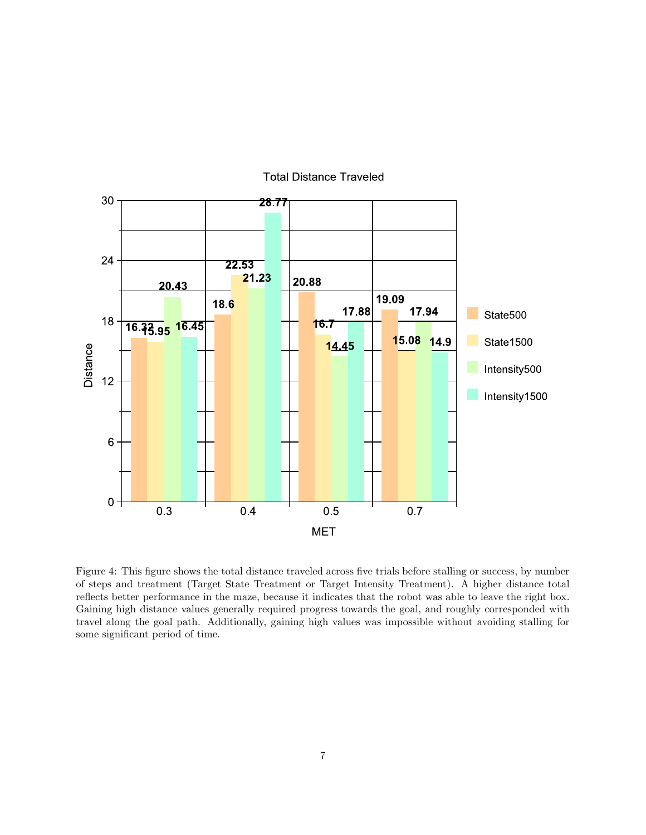

Figure 4: This figure shows the total distance traveled across five trials before stalling or success, by number of steps and treatment (Target State Treatment or Target Intensity Treatment). A higher distance total reflects better performance in the maze, because it indicates that the robot was able to leave the right box. Gaining high distance values generally required progress towards the goal, and roughly corresponded with travel along the goal path. Additionally, gaining high values was impossible without avoiding stalling for some significant period of time.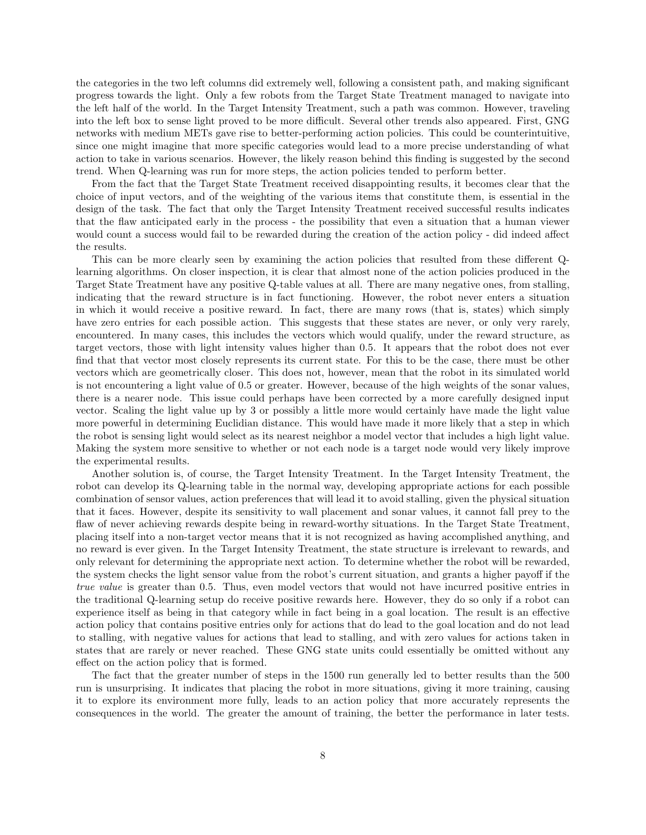the categories in the two left columns did extremely well, following a consistent path, and making significant progress towards the light. Only a few robots from the Target State Treatment managed to navigate into the left half of the world. In the Target Intensity Treatment, such a path was common. However, traveling into the left box to sense light proved to be more difficult. Several other trends also appeared. First, GNG networks with medium METs gave rise to better-performing action policies. This could be counterintuitive, since one might imagine that more specific categories would lead to a more precise understanding of what action to take in various scenarios. However, the likely reason behind this finding is suggested by the second trend. When Q-learning was run for more steps, the action policies tended to perform better.

From the fact that the Target State Treatment received disappointing results, it becomes clear that the choice of input vectors, and of the weighting of the various items that constitute them, is essential in the design of the task. The fact that only the Target Intensity Treatment received successful results indicates that the flaw anticipated early in the process - the possibility that even a situation that a human viewer would count a success would fail to be rewarded during the creation of the action policy - did indeed affect the results.

This can be more clearly seen by examining the action policies that resulted from these different Qlearning algorithms. On closer inspection, it is clear that almost none of the action policies produced in the Target State Treatment have any positive Q-table values at all. There are many negative ones, from stalling, indicating that the reward structure is in fact functioning. However, the robot never enters a situation in which it would receive a positive reward. In fact, there are many rows (that is, states) which simply have zero entries for each possible action. This suggests that these states are never, or only very rarely, encountered. In many cases, this includes the vectors which would qualify, under the reward structure, as target vectors, those with light intensity values higher than 0.5. It appears that the robot does not ever find that that vector most closely represents its current state. For this to be the case, there must be other vectors which are geometrically closer. This does not, however, mean that the robot in its simulated world is not encountering a light value of 0.5 or greater. However, because of the high weights of the sonar values, there is a nearer node. This issue could perhaps have been corrected by a more carefully designed input vector. Scaling the light value up by 3 or possibly a little more would certainly have made the light value more powerful in determining Euclidian distance. This would have made it more likely that a step in which the robot is sensing light would select as its nearest neighbor a model vector that includes a high light value. Making the system more sensitive to whether or not each node is a target node would very likely improve the experimental results.

Another solution is, of course, the Target Intensity Treatment. In the Target Intensity Treatment, the robot can develop its Q-learning table in the normal way, developing appropriate actions for each possible combination of sensor values, action preferences that will lead it to avoid stalling, given the physical situation that it faces. However, despite its sensitivity to wall placement and sonar values, it cannot fall prey to the flaw of never achieving rewards despite being in reward-worthy situations. In the Target State Treatment, placing itself into a non-target vector means that it is not recognized as having accomplished anything, and no reward is ever given. In the Target Intensity Treatment, the state structure is irrelevant to rewards, and only relevant for determining the appropriate next action. To determine whether the robot will be rewarded, the system checks the light sensor value from the robot's current situation, and grants a higher payoff if the *true value* is greater than 0.5. Thus, even model vectors that would not have incurred positive entries in the traditional Q-learning setup do receive positive rewards here. However, they do so only if a robot can experience itself as being in that category while in fact being in a goal location. The result is an effective action policy that contains positive entries only for actions that do lead to the goal location and do not lead to stalling, with negative values for actions that lead to stalling, and with zero values for actions taken in states that are rarely or never reached. These GNG state units could essentially be omitted without any effect on the action policy that is formed.

The fact that the greater number of steps in the 1500 run generally led to better results than the 500 run is unsurprising. It indicates that placing the robot in more situations, giving it more training, causing it to explore its environment more fully, leads to an action policy that more accurately represents the consequences in the world. The greater the amount of training, the better the performance in later tests.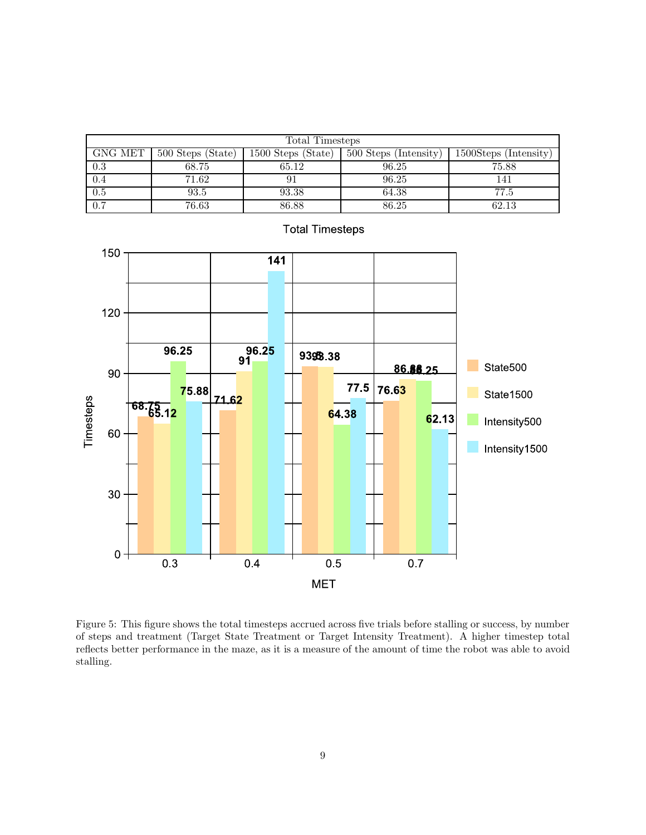| Total Timesteps |                   |                    |                       |                       |  |
|-----------------|-------------------|--------------------|-----------------------|-----------------------|--|
| GNG MET         | 500 Steps (State) | 1500 Steps (State) | 500 Steps (Intensity) | 1500Steps (Intensity) |  |
| 0.3             | 68.75             | 65.12              | 96.25                 | 75.88                 |  |
| 0.4             | 71.62             | 91                 | 96.25                 | 141                   |  |
| 0.5             | 93.5              | 93.38              | 64.38                 | 77.5                  |  |
| 0.7             | 76.63             | 86.88              | 86.25                 | 62.13                 |  |



**Total Timesteps** 

Figure 5: This figure shows the total timesteps accrued across five trials before stalling or success, by number of steps and treatment (Target State Treatment or Target Intensity Treatment). A higher timestep total reflects better performance in the maze, as it is a measure of the amount of time the robot was able to avoid stalling.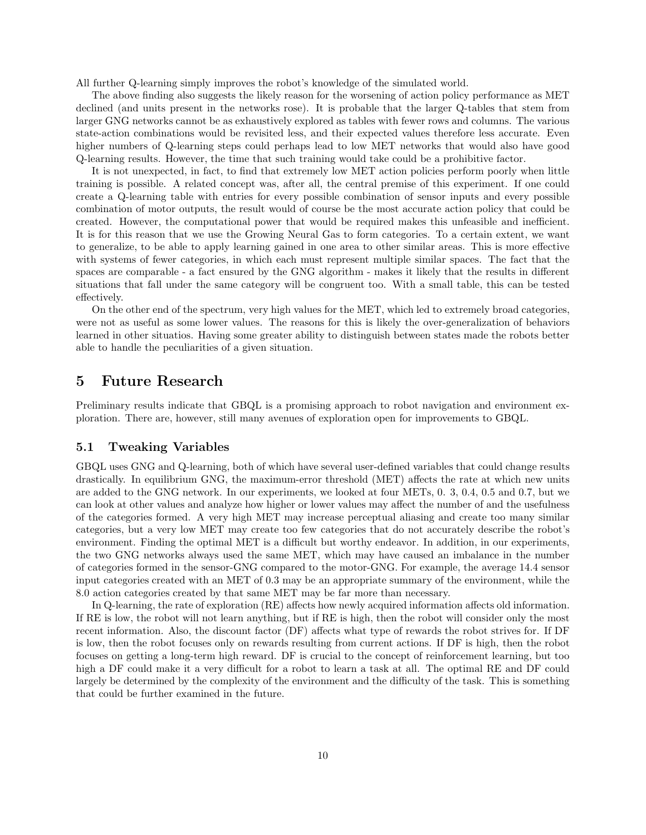All further Q-learning simply improves the robot's knowledge of the simulated world.

The above finding also suggests the likely reason for the worsening of action policy performance as MET declined (and units present in the networks rose). It is probable that the larger Q-tables that stem from larger GNG networks cannot be as exhaustively explored as tables with fewer rows and columns. The various state-action combinations would be revisited less, and their expected values therefore less accurate. Even higher numbers of Q-learning steps could perhaps lead to low MET networks that would also have good Q-learning results. However, the time that such training would take could be a prohibitive factor.

It is not unexpected, in fact, to find that extremely low MET action policies perform poorly when little training is possible. A related concept was, after all, the central premise of this experiment. If one could create a Q-learning table with entries for every possible combination of sensor inputs and every possible combination of motor outputs, the result would of course be the most accurate action policy that could be created. However, the computational power that would be required makes this unfeasible and inefficient. It is for this reason that we use the Growing Neural Gas to form categories. To a certain extent, we want to generalize, to be able to apply learning gained in one area to other similar areas. This is more effective with systems of fewer categories, in which each must represent multiple similar spaces. The fact that the spaces are comparable - a fact ensured by the GNG algorithm - makes it likely that the results in different situations that fall under the same category will be congruent too. With a small table, this can be tested effectively.

On the other end of the spectrum, very high values for the MET, which led to extremely broad categories, were not as useful as some lower values. The reasons for this is likely the over-generalization of behaviors learned in other situatios. Having some greater ability to distinguish between states made the robots better able to handle the peculiarities of a given situation.

### 5 Future Research

Preliminary results indicate that GBQL is a promising approach to robot navigation and environment exploration. There are, however, still many avenues of exploration open for improvements to GBQL.

#### 5.1 Tweaking Variables

GBQL uses GNG and Q-learning, both of which have several user-defined variables that could change results drastically. In equilibrium GNG, the maximum-error threshold (MET) affects the rate at which new units are added to the GNG network. In our experiments, we looked at four METs, 0. 3, 0.4, 0.5 and 0.7, but we can look at other values and analyze how higher or lower values may affect the number of and the usefulness of the categories formed. A very high MET may increase perceptual aliasing and create too many similar categories, but a very low MET may create too few categories that do not accurately describe the robot's environment. Finding the optimal MET is a difficult but worthy endeavor. In addition, in our experiments, the two GNG networks always used the same MET, which may have caused an imbalance in the number of categories formed in the sensor-GNG compared to the motor-GNG. For example, the average 14.4 sensor input categories created with an MET of 0.3 may be an appropriate summary of the environment, while the 8.0 action categories created by that same MET may be far more than necessary.

In Q-learning, the rate of exploration (RE) affects how newly acquired information affects old information. If RE is low, the robot will not learn anything, but if RE is high, then the robot will consider only the most recent information. Also, the discount factor (DF) affects what type of rewards the robot strives for. If DF is low, then the robot focuses only on rewards resulting from current actions. If DF is high, then the robot focuses on getting a long-term high reward. DF is crucial to the concept of reinforcement learning, but too high a DF could make it a very difficult for a robot to learn a task at all. The optimal RE and DF could largely be determined by the complexity of the environment and the difficulty of the task. This is something that could be further examined in the future.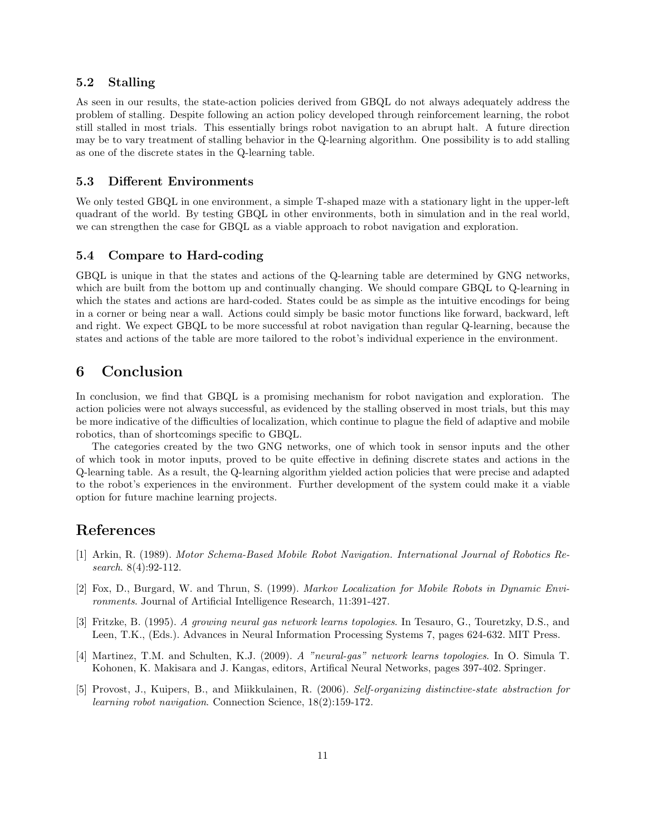#### 5.2 Stalling

As seen in our results, the state-action policies derived from GBQL do not always adequately address the problem of stalling. Despite following an action policy developed through reinforcement learning, the robot still stalled in most trials. This essentially brings robot navigation to an abrupt halt. A future direction may be to vary treatment of stalling behavior in the Q-learning algorithm. One possibility is to add stalling as one of the discrete states in the Q-learning table.

#### 5.3 Different Environments

We only tested GBQL in one environment, a simple T-shaped maze with a stationary light in the upper-left quadrant of the world. By testing GBQL in other environments, both in simulation and in the real world, we can strengthen the case for GBQL as a viable approach to robot navigation and exploration.

### 5.4 Compare to Hard-coding

GBQL is unique in that the states and actions of the Q-learning table are determined by GNG networks, which are built from the bottom up and continually changing. We should compare GBQL to Q-learning in which the states and actions are hard-coded. States could be as simple as the intuitive encodings for being in a corner or being near a wall. Actions could simply be basic motor functions like forward, backward, left and right. We expect GBQL to be more successful at robot navigation than regular Q-learning, because the states and actions of the table are more tailored to the robot's individual experience in the environment.

# 6 Conclusion

In conclusion, we find that GBQL is a promising mechanism for robot navigation and exploration. The action policies were not always successful, as evidenced by the stalling observed in most trials, but this may be more indicative of the difficulties of localization, which continue to plague the field of adaptive and mobile robotics, than of shortcomings specific to GBQL.

The categories created by the two GNG networks, one of which took in sensor inputs and the other of which took in motor inputs, proved to be quite effective in defining discrete states and actions in the Q-learning table. As a result, the Q-learning algorithm yielded action policies that were precise and adapted to the robot's experiences in the environment. Further development of the system could make it a viable option for future machine learning projects.

### References

- [1] Arkin, R. (1989). *Motor Schema-Based Mobile Robot Navigation. International Journal of Robotics Research*. 8(4):92-112.
- [2] Fox, D., Burgard, W. and Thrun, S. (1999). *Markov Localization for Mobile Robots in Dynamic Environments*. Journal of Artificial Intelligence Research, 11:391-427.
- [3] Fritzke, B. (1995). *A growing neural gas network learns topologies*. In Tesauro, G., Touretzky, D.S., and Leen, T.K., (Eds.). Advances in Neural Information Processing Systems 7, pages 624-632. MIT Press.
- [4] Martinez, T.M. and Schulten, K.J. (2009). *A "neural-gas" network learns topologies*. In O. Simula T. Kohonen, K. Makisara and J. Kangas, editors, Artifical Neural Networks, pages 397-402. Springer.
- [5] Provost, J., Kuipers, B., and Miikkulainen, R. (2006). *Self-organizing distinctive-state abstraction for learning robot navigation*. Connection Science, 18(2):159-172.